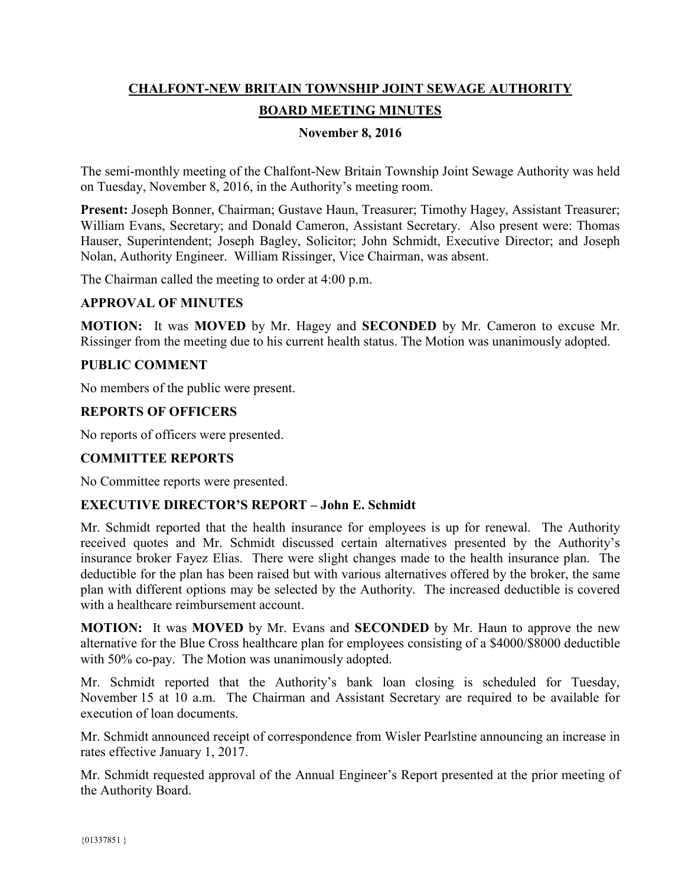# **CHALFONT-NEW BRITAIN TOWNSHIP JOINT SEWAGE AUTHORITY BOARD MEETING MINUTES**

# **November 8, 2016**

The semi-monthly meeting of the Chalfont-New Britain Township Joint Sewage Authority was held on Tuesday, November 8, 2016, in the Authority's meeting room.

**Present:** Joseph Bonner, Chairman; Gustave Haun, Treasurer; Timothy Hagey, Assistant Treasurer; William Evans, Secretary; and Donald Cameron, Assistant Secretary. Also present were: Thomas Hauser, Superintendent; Joseph Bagley, Solicitor; John Schmidt, Executive Director; and Joseph Nolan, Authority Engineer. William Rissinger, Vice Chairman, was absent.

The Chairman called the meeting to order at 4:00 p.m.

#### **APPROVAL OF MINUTES**

**MOTION:** It was **MOVED** by Mr. Hagey and **SECONDED** by Mr. Cameron to excuse Mr. Rissinger from the meeting due to his current health status. The Motion was unanimously adopted.

#### **PUBLIC COMMENT**

No members of the public were present.

#### **REPORTS OF OFFICERS**

No reports of officers were presented.

#### **COMMITTEE REPORTS**

No Committee reports were presented.

#### **EXECUTIVE DIRECTOR'S REPORT – John E. Schmidt**

Mr. Schmidt reported that the health insurance for employees is up for renewal. The Authority received quotes and Mr. Schmidt discussed certain alternatives presented by the Authority's insurance broker Fayez Elias. There were slight changes made to the health insurance plan. The deductible for the plan has been raised but with various alternatives offered by the broker, the same plan with different options may be selected by the Authority. The increased deductible is covered with a healthcare reimbursement account.

**MOTION:** It was **MOVED** by Mr. Evans and **SECONDED** by Mr. Haun to approve the new alternative for the Blue Cross healthcare plan for employees consisting of a \$4000/\$8000 deductible with 50% co-pay. The Motion was unanimously adopted.

Mr. Schmidt reported that the Authority's bank loan closing is scheduled for Tuesday, November 15 at 10 a.m. The Chairman and Assistant Secretary are required to be available for execution of loan documents.

Mr. Schmidt announced receipt of correspondence from Wisler Pearlstine announcing an increase in rates effective January 1, 2017.

Mr. Schmidt requested approval of the Annual Engineer's Report presented at the prior meeting of the Authority Board.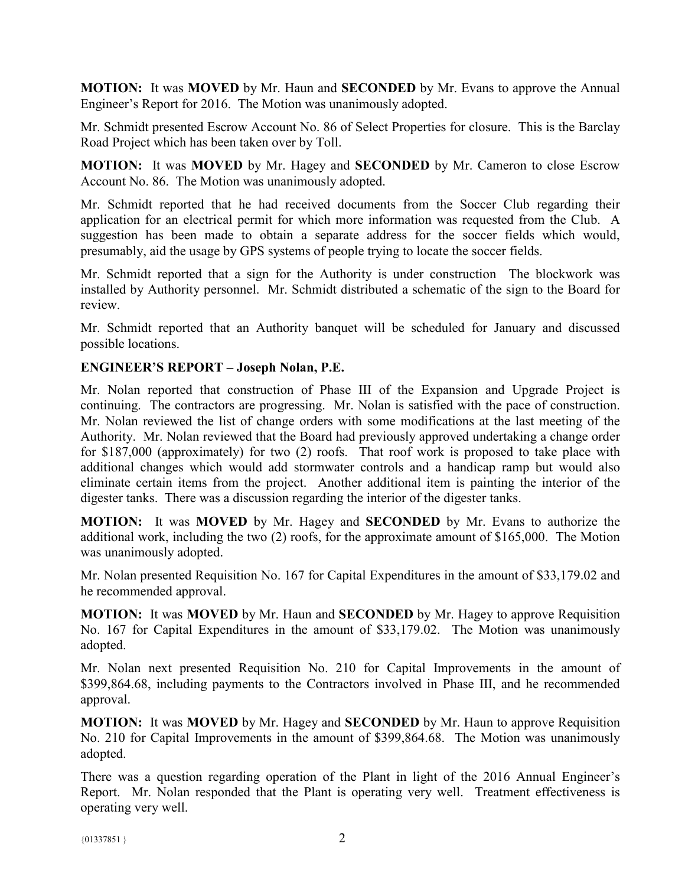**MOTION:** It was **MOVED** by Mr. Haun and **SECONDED** by Mr. Evans to approve the Annual Engineer's Report for 2016. The Motion was unanimously adopted.

Mr. Schmidt presented Escrow Account No. 86 of Select Properties for closure. This is the Barclay Road Project which has been taken over by Toll.

**MOTION:** It was **MOVED** by Mr. Hagey and **SECONDED** by Mr. Cameron to close Escrow Account No. 86. The Motion was unanimously adopted.

Mr. Schmidt reported that he had received documents from the Soccer Club regarding their application for an electrical permit for which more information was requested from the Club. A suggestion has been made to obtain a separate address for the soccer fields which would, presumably, aid the usage by GPS systems of people trying to locate the soccer fields.

Mr. Schmidt reported that a sign for the Authority is under construction The blockwork was installed by Authority personnel. Mr. Schmidt distributed a schematic of the sign to the Board for review.

Mr. Schmidt reported that an Authority banquet will be scheduled for January and discussed possible locations.

### **ENGINEER'S REPORT – Joseph Nolan, P.E.**

Mr. Nolan reported that construction of Phase III of the Expansion and Upgrade Project is continuing. The contractors are progressing. Mr. Nolan is satisfied with the pace of construction. Mr. Nolan reviewed the list of change orders with some modifications at the last meeting of the Authority. Mr. Nolan reviewed that the Board had previously approved undertaking a change order for \$187,000 (approximately) for two (2) roofs. That roof work is proposed to take place with additional changes which would add stormwater controls and a handicap ramp but would also eliminate certain items from the project. Another additional item is painting the interior of the digester tanks. There was a discussion regarding the interior of the digester tanks.

**MOTION:** It was **MOVED** by Mr. Hagey and **SECONDED** by Mr. Evans to authorize the additional work, including the two (2) roofs, for the approximate amount of \$165,000. The Motion was unanimously adopted.

Mr. Nolan presented Requisition No. 167 for Capital Expenditures in the amount of \$33,179.02 and he recommended approval.

**MOTION:** It was **MOVED** by Mr. Haun and **SECONDED** by Mr. Hagey to approve Requisition No. 167 for Capital Expenditures in the amount of \$33,179.02. The Motion was unanimously adopted.

Mr. Nolan next presented Requisition No. 210 for Capital Improvements in the amount of \$399,864.68, including payments to the Contractors involved in Phase III, and he recommended approval.

**MOTION:** It was **MOVED** by Mr. Hagey and **SECONDED** by Mr. Haun to approve Requisition No. 210 for Capital Improvements in the amount of \$399,864.68. The Motion was unanimously adopted.

There was a question regarding operation of the Plant in light of the 2016 Annual Engineer's Report. Mr. Nolan responded that the Plant is operating very well. Treatment effectiveness is operating very well.